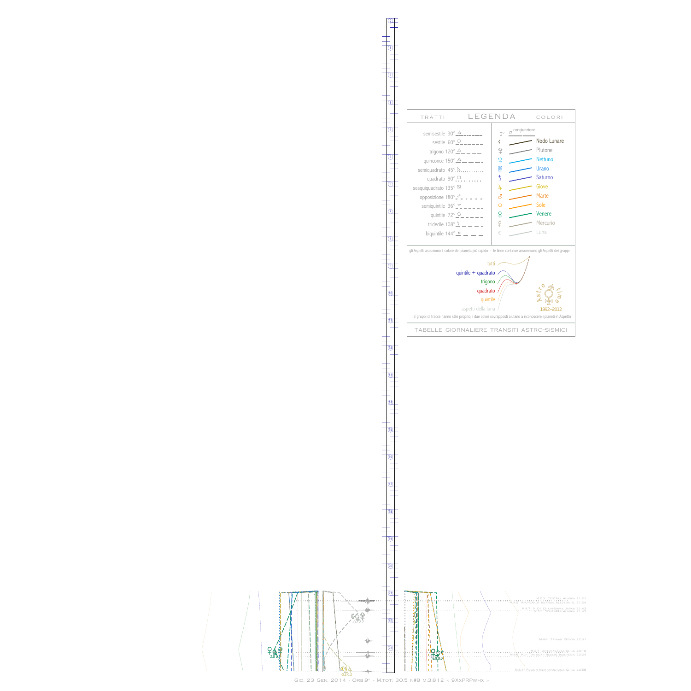<u>as</u>  $2.82$